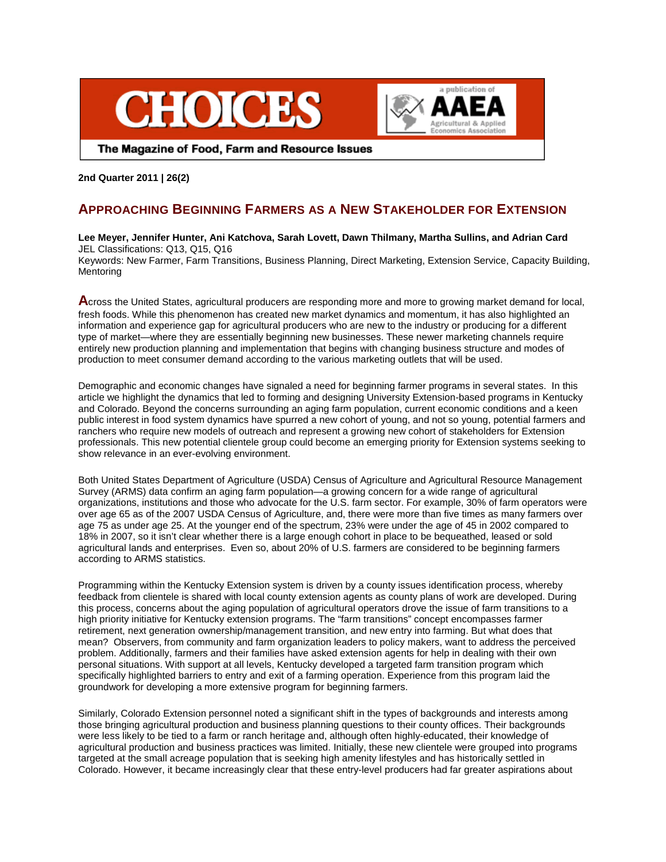



The Magazine of Food, Farm and Resource Issues

## **2nd Quarter 2011 | 26(2)**

# **APPROACHING BEGINNING FARMERS AS A NEW STAKEHOLDER FOR EXTENSION**

## **Lee Meyer, Jennifer Hunter, Ani Katchova, Sarah Lovett, Dawn Thilmany, Martha Sullins, and Adrian Card** JEL Classifications: Q13, Q15, Q16

Keywords: New Farmer, Farm Transitions, Business Planning, Direct Marketing, Extension Service, Capacity Building, **Mentoring** 

**A**cross the United States, agricultural producers are responding more and more to growing market demand for local, fresh foods. While this phenomenon has created new market dynamics and momentum, it has also highlighted an information and experience gap for agricultural producers who are new to the industry or producing for a different type of market—where they are essentially beginning new businesses. These newer marketing channels require entirely new production planning and implementation that begins with changing business structure and modes of production to meet consumer demand according to the various marketing outlets that will be used.

Demographic and economic changes have signaled a need for beginning farmer programs in several states. In this article we highlight the dynamics that led to forming and designing University Extension-based programs in Kentucky and Colorado. Beyond the concerns surrounding an aging farm population, current economic conditions and a keen public interest in food system dynamics have spurred a new cohort of young, and not so young, potential farmers and ranchers who require new models of outreach and represent a growing new cohort of stakeholders for Extension professionals. This new potential clientele group could become an emerging priority for Extension systems seeking to show relevance in an ever-evolving environment.

Both United States Department of Agriculture (USDA) Census of Agriculture and Agricultural Resource Management Survey (ARMS) data confirm an aging farm population—a growing concern for a wide range of agricultural organizations, institutions and those who advocate for the U.S. farm sector. For example, 30% of farm operators were over age 65 as of the 2007 USDA Census of Agriculture, and, there were more than five times as many farmers over age 75 as under age 25. At the younger end of the spectrum, 23% were under the age of 45 in 2002 compared to 18% in 2007, so it isn't clear whether there is a large enough cohort in place to be bequeathed, leased or sold agricultural lands and enterprises. Even so, about 20% of U.S. farmers are considered to be beginning farmers according to ARMS statistics.

Programming within the Kentucky Extension system is driven by a county issues identification process, whereby feedback from clientele is shared with local county extension agents as county plans of work are developed. During this process, concerns about the aging population of agricultural operators drove the issue of farm transitions to a high priority initiative for Kentucky extension programs. The "farm transitions" concept encompasses farmer retirement, next generation ownership/management transition, and new entry into farming. But what does that mean? Observers, from community and farm organization leaders to policy makers, want to address the perceived problem. Additionally, farmers and their families have asked extension agents for help in dealing with their own personal situations. With support at all levels, Kentucky developed a targeted farm transition program which specifically highlighted barriers to entry and exit of a farming operation. Experience from this program laid the groundwork for developing a more extensive program for beginning farmers.

Similarly, Colorado Extension personnel noted a significant shift in the types of backgrounds and interests among those bringing agricultural production and business planning questions to their county offices. Their backgrounds were less likely to be tied to a farm or ranch heritage and, although often highly-educated, their knowledge of agricultural production and business practices was limited. Initially, these new clientele were grouped into programs targeted at the small acreage population that is seeking high amenity lifestyles and has historically settled in Colorado. However, it became increasingly clear that these entry-level producers had far greater aspirations about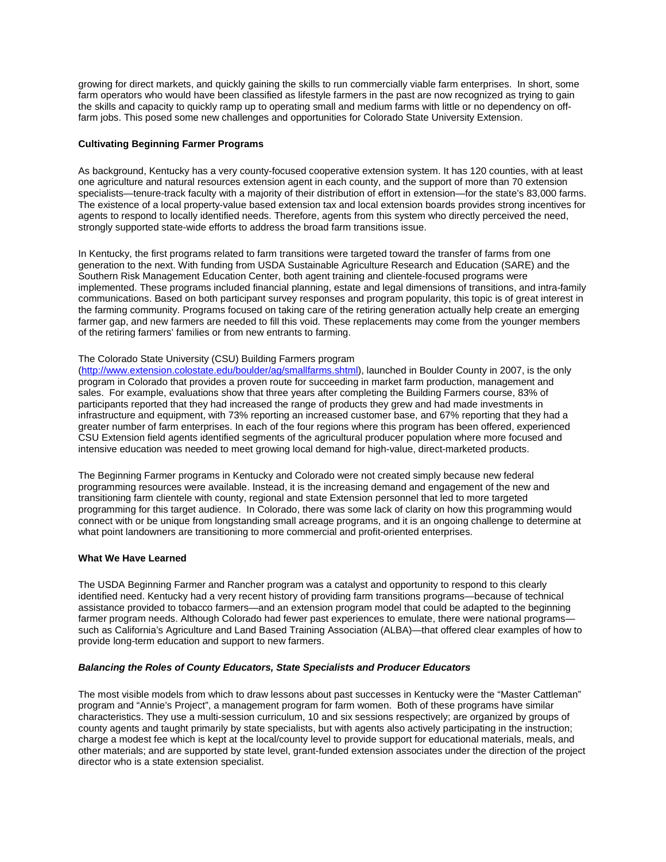growing for direct markets, and quickly gaining the skills to run commercially viable farm enterprises. In short, some farm operators who would have been classified as lifestyle farmers in the past are now recognized as trying to gain the skills and capacity to quickly ramp up to operating small and medium farms with little or no dependency on offfarm jobs. This posed some new challenges and opportunities for Colorado State University Extension.

## **Cultivating Beginning Farmer Programs**

As background, Kentucky has a very county-focused cooperative extension system. It has 120 counties, with at least one agriculture and natural resources extension agent in each county, and the support of more than 70 extension specialists—tenure-track faculty with a majority of their distribution of effort in extension—for the state's 83,000 farms. The existence of a local property-value based extension tax and local extension boards provides strong incentives for agents to respond to locally identified needs. Therefore, agents from this system who directly perceived the need, strongly supported state-wide efforts to address the broad farm transitions issue.

In Kentucky, the first programs related to farm transitions were targeted toward the transfer of farms from one generation to the next. With funding from USDA Sustainable Agriculture Research and Education (SARE) and the Southern Risk Management Education Center, both agent training and clientele-focused programs were implemented. These programs included financial planning, estate and legal dimensions of transitions, and intra-family communications. Based on both participant survey responses and program popularity, this topic is of great interest in the farming community. Programs focused on taking care of the retiring generation actually help create an emerging farmer gap, and new farmers are needed to fill this void. These replacements may come from the younger members of the retiring farmers' families or from new entrants to farming.

#### The Colorado State University (CSU) Building Farmers program

[\(http://www.extension.colostate.edu/boulder/ag/smallfarms.shtml\)](http://www.extension.colostate.edu/boulder/ag/smallfarms.shtml), launched in Boulder County in 2007, is the only program in Colorado that provides a proven route for succeeding in market farm production, management and sales. For example, evaluations show that three years after completing the Building Farmers course, 83% of participants reported that they had increased the range of products they grew and had made investments in infrastructure and equipment, with 73% reporting an increased customer base, and 67% reporting that they had a greater number of farm enterprises. In each of the four regions where this program has been offered, experienced CSU Extension field agents identified segments of the agricultural producer population where more focused and intensive education was needed to meet growing local demand for high-value, direct-marketed products.

The Beginning Farmer programs in Kentucky and Colorado were not created simply because new federal programming resources were available. Instead, it is the increasing demand and engagement of the new and transitioning farm clientele with county, regional and state Extension personnel that led to more targeted programming for this target audience. In Colorado, there was some lack of clarity on how this programming would connect with or be unique from longstanding small acreage programs, and it is an ongoing challenge to determine at what point landowners are transitioning to more commercial and profit-oriented enterprises.

#### **What We Have Learned**

The USDA Beginning Farmer and Rancher program was a catalyst and opportunity to respond to this clearly identified need. Kentucky had a very recent history of providing farm transitions programs—because of technical assistance provided to tobacco farmers—and an extension program model that could be adapted to the beginning farmer program needs. Although Colorado had fewer past experiences to emulate, there were national programs such as California's Agriculture and Land Based Training Association (ALBA)—that offered clear examples of how to provide long-term education and support to new farmers.

#### *Balancing the Roles of County Educators, State Specialists and Producer Educators*

The most visible models from which to draw lessons about past successes in Kentucky were the "Master Cattleman" program and "Annie's Project", a management program for farm women. Both of these programs have similar characteristics. They use a multi-session curriculum, 10 and six sessions respectively; are organized by groups of county agents and taught primarily by state specialists, but with agents also actively participating in the instruction; charge a modest fee which is kept at the local/county level to provide support for educational materials, meals, and other materials; and are supported by state level, grant-funded extension associates under the direction of the project director who is a state extension specialist.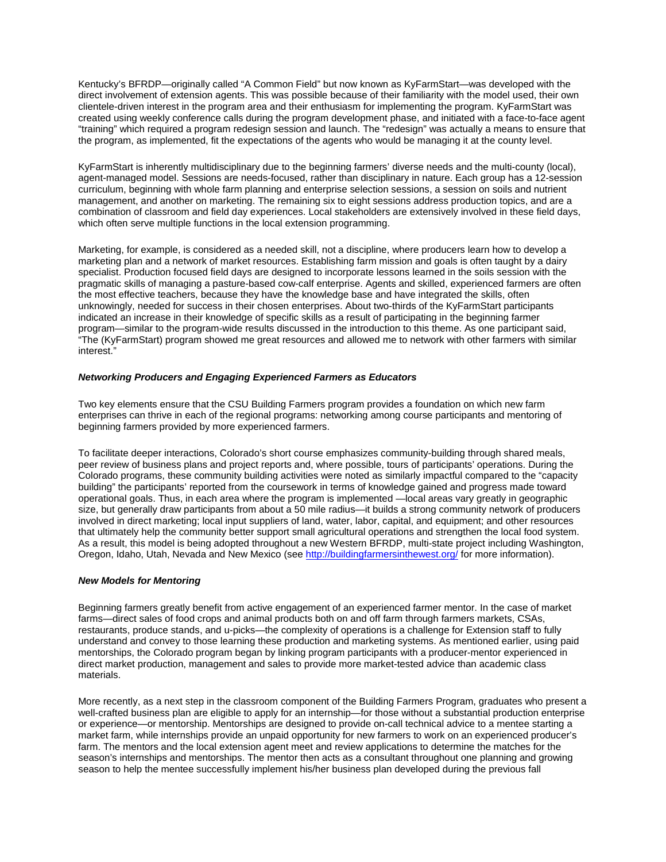Kentucky's BFRDP—originally called "A Common Field" but now known as KyFarmStart—was developed with the direct involvement of extension agents. This was possible because of their familiarity with the model used, their own clientele-driven interest in the program area and their enthusiasm for implementing the program. KyFarmStart was created using weekly conference calls during the program development phase, and initiated with a face-to-face agent "training" which required a program redesign session and launch. The "redesign" was actually a means to ensure that the program, as implemented, fit the expectations of the agents who would be managing it at the county level.

KyFarmStart is inherently multidisciplinary due to the beginning farmers' diverse needs and the multi-county (local), agent-managed model. Sessions are needs-focused, rather than disciplinary in nature. Each group has a 12-session curriculum, beginning with whole farm planning and enterprise selection sessions, a session on soils and nutrient management, and another on marketing. The remaining six to eight sessions address production topics, and are a combination of classroom and field day experiences. Local stakeholders are extensively involved in these field days, which often serve multiple functions in the local extension programming.

Marketing, for example, is considered as a needed skill, not a discipline, where producers learn how to develop a marketing plan and a network of market resources. Establishing farm mission and goals is often taught by a dairy specialist. Production focused field days are designed to incorporate lessons learned in the soils session with the pragmatic skills of managing a pasture-based cow-calf enterprise. Agents and skilled, experienced farmers are often the most effective teachers, because they have the knowledge base and have integrated the skills, often unknowingly, needed for success in their chosen enterprises. About two-thirds of the KyFarmStart participants indicated an increase in their knowledge of specific skills as a result of participating in the beginning farmer program—similar to the program-wide results discussed in the introduction to this theme. As one participant said, "The (KyFarmStart) program showed me great resources and allowed me to network with other farmers with similar interest."

## *Networking Producers and Engaging Experienced Farmers as Educators*

Two key elements ensure that the CSU Building Farmers program provides a foundation on which new farm enterprises can thrive in each of the regional programs: networking among course participants and mentoring of beginning farmers provided by more experienced farmers.

To facilitate deeper interactions, Colorado's short course emphasizes community-building through shared meals, peer review of business plans and project reports and, where possible, tours of participants' operations. During the Colorado programs, these community building activities were noted as similarly impactful compared to the "capacity building" the participants' reported from the coursework in terms of knowledge gained and progress made toward operational goals. Thus, in each area where the program is implemented —local areas vary greatly in geographic size, but generally draw participants from about a 50 mile radius—it builds a strong community network of producers involved in direct marketing; local input suppliers of land, water, labor, capital, and equipment; and other resources that ultimately help the community better support small agricultural operations and strengthen the local food system. As a result, this model is being adopted throughout a new Western BFRDP, multi-state project including Washington, Oregon, Idaho, Utah, Nevada and New Mexico (see<http://buildingfarmersinthewest.org/> for more information).

#### *New Models for Mentoring*

Beginning farmers greatly benefit from active engagement of an experienced farmer mentor. In the case of market farms—direct sales of food crops and animal products both on and off farm through farmers markets, CSAs, restaurants, produce stands, and u-picks—the complexity of operations is a challenge for Extension staff to fully understand and convey to those learning these production and marketing systems. As mentioned earlier, using paid mentorships, the Colorado program began by linking program participants with a producer-mentor experienced in direct market production, management and sales to provide more market-tested advice than academic class materials.

More recently, as a next step in the classroom component of the Building Farmers Program, graduates who present a well-crafted business plan are eligible to apply for an internship—for those without a substantial production enterprise or experience—or mentorship. Mentorships are designed to provide on-call technical advice to a mentee starting a market farm, while internships provide an unpaid opportunity for new farmers to work on an experienced producer's farm. The mentors and the local extension agent meet and review applications to determine the matches for the season's internships and mentorships. The mentor then acts as a consultant throughout one planning and growing season to help the mentee successfully implement his/her business plan developed during the previous fall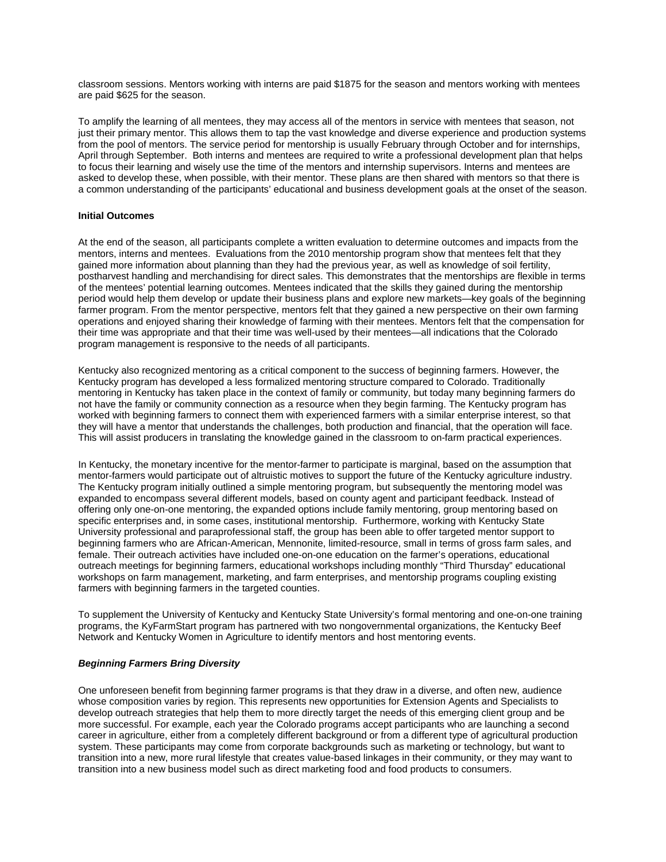classroom sessions. Mentors working with interns are paid \$1875 for the season and mentors working with mentees are paid \$625 for the season.

To amplify the learning of all mentees, they may access all of the mentors in service with mentees that season, not just their primary mentor. This allows them to tap the vast knowledge and diverse experience and production systems from the pool of mentors. The service period for mentorship is usually February through October and for internships, April through September. Both interns and mentees are required to write a professional development plan that helps to focus their learning and wisely use the time of the mentors and internship supervisors. Interns and mentees are asked to develop these, when possible, with their mentor. These plans are then shared with mentors so that there is a common understanding of the participants' educational and business development goals at the onset of the season.

### **Initial Outcomes**

At the end of the season, all participants complete a written evaluation to determine outcomes and impacts from the mentors, interns and mentees. Evaluations from the 2010 mentorship program show that mentees felt that they gained more information about planning than they had the previous year, as well as knowledge of soil fertility, postharvest handling and merchandising for direct sales. This demonstrates that the mentorships are flexible in terms of the mentees' potential learning outcomes. Mentees indicated that the skills they gained during the mentorship period would help them develop or update their business plans and explore new markets—key goals of the beginning farmer program. From the mentor perspective, mentors felt that they gained a new perspective on their own farming operations and enjoyed sharing their knowledge of farming with their mentees. Mentors felt that the compensation for their time was appropriate and that their time was well-used by their mentees—all indications that the Colorado program management is responsive to the needs of all participants.

Kentucky also recognized mentoring as a critical component to the success of beginning farmers. However, the Kentucky program has developed a less formalized mentoring structure compared to Colorado. Traditionally mentoring in Kentucky has taken place in the context of family or community, but today many beginning farmers do not have the family or community connection as a resource when they begin farming. The Kentucky program has worked with beginning farmers to connect them with experienced farmers with a similar enterprise interest, so that they will have a mentor that understands the challenges, both production and financial, that the operation will face. This will assist producers in translating the knowledge gained in the classroom to on-farm practical experiences.

In Kentucky, the monetary incentive for the mentor-farmer to participate is marginal, based on the assumption that mentor-farmers would participate out of altruistic motives to support the future of the Kentucky agriculture industry. The Kentucky program initially outlined a simple mentoring program, but subsequently the mentoring model was expanded to encompass several different models, based on county agent and participant feedback. Instead of offering only one-on-one mentoring, the expanded options include family mentoring, group mentoring based on specific enterprises and, in some cases, institutional mentorship. Furthermore, working with Kentucky State University professional and paraprofessional staff, the group has been able to offer targeted mentor support to beginning farmers who are African-American, Mennonite, limited-resource, small in terms of gross farm sales, and female. Their outreach activities have included one-on-one education on the farmer's operations, educational outreach meetings for beginning farmers, educational workshops including monthly "Third Thursday" educational workshops on farm management, marketing, and farm enterprises, and mentorship programs coupling existing farmers with beginning farmers in the targeted counties.

To supplement the University of Kentucky and Kentucky State University's formal mentoring and one-on-one training programs, the KyFarmStart program has partnered with two nongovernmental organizations, the Kentucky Beef Network and Kentucky Women in Agriculture to identify mentors and host mentoring events.

#### *Beginning Farmers Bring Diversity*

One unforeseen benefit from beginning farmer programs is that they draw in a diverse, and often new, audience whose composition varies by region. This represents new opportunities for Extension Agents and Specialists to develop outreach strategies that help them to more directly target the needs of this emerging client group and be more successful. For example, each year the Colorado programs accept participants who are launching a second career in agriculture, either from a completely different background or from a different type of agricultural production system. These participants may come from corporate backgrounds such as marketing or technology, but want to transition into a new, more rural lifestyle that creates value-based linkages in their community, or they may want to transition into a new business model such as direct marketing food and food products to consumers.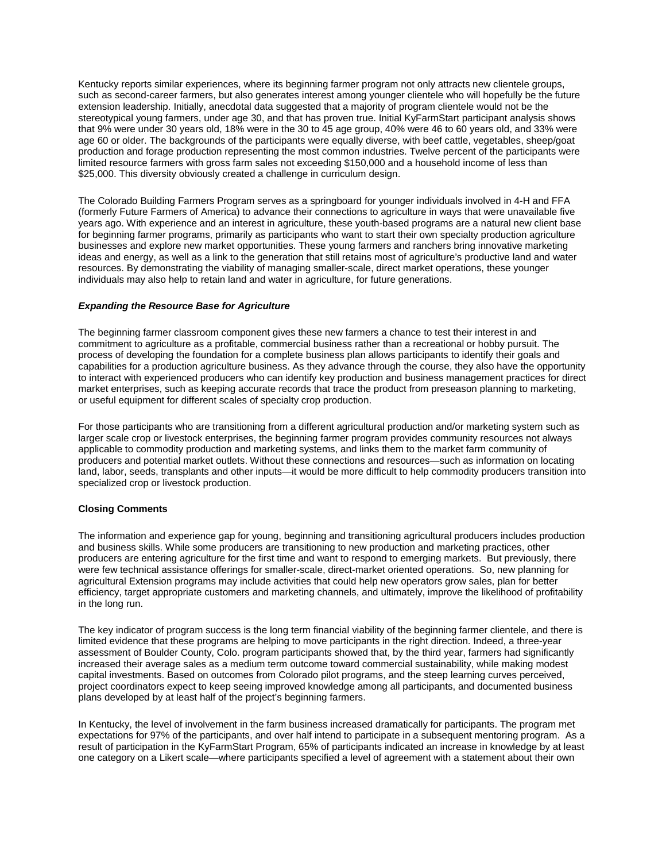Kentucky reports similar experiences, where its beginning farmer program not only attracts new clientele groups, such as second-career farmers, but also generates interest among younger clientele who will hopefully be the future extension leadership. Initially, anecdotal data suggested that a majority of program clientele would not be the stereotypical young farmers, under age 30, and that has proven true. Initial KyFarmStart participant analysis shows that 9% were under 30 years old, 18% were in the 30 to 45 age group, 40% were 46 to 60 years old, and 33% were age 60 or older. The backgrounds of the participants were equally diverse, with beef cattle, vegetables, sheep/goat production and forage production representing the most common industries. Twelve percent of the participants were limited resource farmers with gross farm sales not exceeding \$150,000 and a household income of less than \$25,000. This diversity obviously created a challenge in curriculum design.

The Colorado Building Farmers Program serves as a springboard for younger individuals involved in 4-H and FFA (formerly Future Farmers of America) to advance their connections to agriculture in ways that were unavailable five years ago. With experience and an interest in agriculture, these youth-based programs are a natural new client base for beginning farmer programs, primarily as participants who want to start their own specialty production agriculture businesses and explore new market opportunities. These young farmers and ranchers bring innovative marketing ideas and energy, as well as a link to the generation that still retains most of agriculture's productive land and water resources. By demonstrating the viability of managing smaller-scale, direct market operations, these younger individuals may also help to retain land and water in agriculture, for future generations.

## *Expanding the Resource Base for Agriculture*

The beginning farmer classroom component gives these new farmers a chance to test their interest in and commitment to agriculture as a profitable, commercial business rather than a recreational or hobby pursuit. The process of developing the foundation for a complete business plan allows participants to identify their goals and capabilities for a production agriculture business. As they advance through the course, they also have the opportunity to interact with experienced producers who can identify key production and business management practices for direct market enterprises, such as keeping accurate records that trace the product from preseason planning to marketing, or useful equipment for different scales of specialty crop production.

For those participants who are transitioning from a different agricultural production and/or marketing system such as larger scale crop or livestock enterprises, the beginning farmer program provides community resources not always applicable to commodity production and marketing systems, and links them to the market farm community of producers and potential market outlets. Without these connections and resources—such as information on locating land, labor, seeds, transplants and other inputs—it would be more difficult to help commodity producers transition into specialized crop or livestock production.

## **Closing Comments**

The information and experience gap for young, beginning and transitioning agricultural producers includes production and business skills. While some producers are transitioning to new production and marketing practices, other producers are entering agriculture for the first time and want to respond to emerging markets. But previously, there were few technical assistance offerings for smaller-scale, direct-market oriented operations. So, new planning for agricultural Extension programs may include activities that could help new operators grow sales, plan for better efficiency, target appropriate customers and marketing channels, and ultimately, improve the likelihood of profitability in the long run.

The key indicator of program success is the long term financial viability of the beginning farmer clientele, and there is limited evidence that these programs are helping to move participants in the right direction. Indeed, a three-year assessment of Boulder County, Colo. program participants showed that, by the third year, farmers had significantly increased their average sales as a medium term outcome toward commercial sustainability, while making modest capital investments. Based on outcomes from Colorado pilot programs, and the steep learning curves perceived, project coordinators expect to keep seeing improved knowledge among all participants, and documented business plans developed by at least half of the project's beginning farmers.

In Kentucky, the level of involvement in the farm business increased dramatically for participants. The program met expectations for 97% of the participants, and over half intend to participate in a subsequent mentoring program. As a result of participation in the KyFarmStart Program, 65% of participants indicated an increase in knowledge by at least one category on a Likert scale—where participants specified a level of agreement with a statement about their own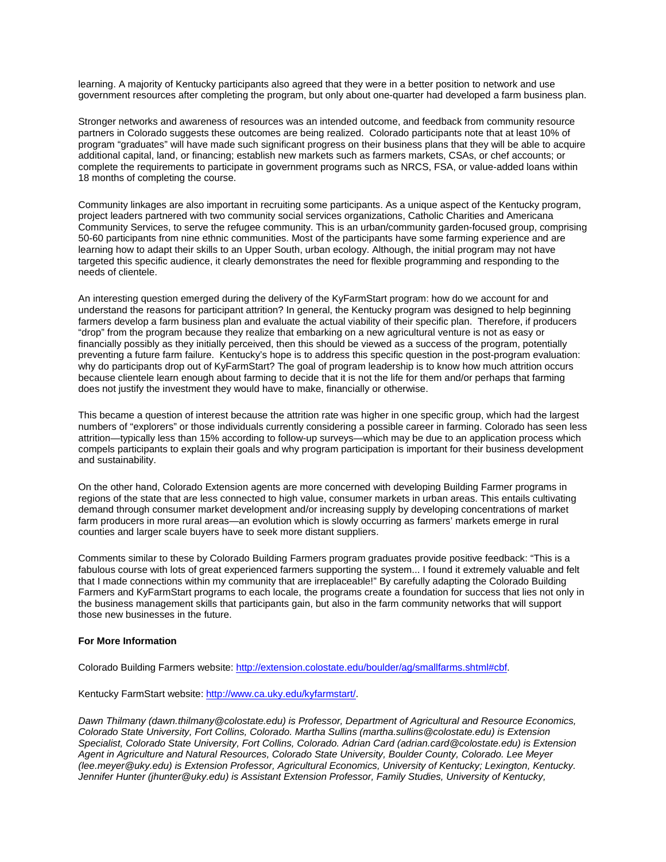learning. A majority of Kentucky participants also agreed that they were in a better position to network and use government resources after completing the program, but only about one-quarter had developed a farm business plan.

Stronger networks and awareness of resources was an intended outcome, and feedback from community resource partners in Colorado suggests these outcomes are being realized. Colorado participants note that at least 10% of program "graduates" will have made such significant progress on their business plans that they will be able to acquire additional capital, land, or financing; establish new markets such as farmers markets, CSAs, or chef accounts; or complete the requirements to participate in government programs such as NRCS, FSA, or value-added loans within 18 months of completing the course.

Community linkages are also important in recruiting some participants. As a unique aspect of the Kentucky program, project leaders partnered with two community social services organizations, Catholic Charities and Americana Community Services, to serve the refugee community. This is an urban/community garden-focused group, comprising 50-60 participants from nine ethnic communities. Most of the participants have some farming experience and are learning how to adapt their skills to an Upper South, urban ecology. Although, the initial program may not have targeted this specific audience, it clearly demonstrates the need for flexible programming and responding to the needs of clientele.

An interesting question emerged during the delivery of the KyFarmStart program: how do we account for and understand the reasons for participant attrition? In general, the Kentucky program was designed to help beginning farmers develop a farm business plan and evaluate the actual viability of their specific plan. Therefore, if producers "drop" from the program because they realize that embarking on a new agricultural venture is not as easy or financially possibly as they initially perceived, then this should be viewed as a success of the program, potentially preventing a future farm failure. Kentucky's hope is to address this specific question in the post-program evaluation: why do participants drop out of KyFarmStart? The goal of program leadership is to know how much attrition occurs because clientele learn enough about farming to decide that it is not the life for them and/or perhaps that farming does not justify the investment they would have to make, financially or otherwise.

This became a question of interest because the attrition rate was higher in one specific group, which had the largest numbers of "explorers" or those individuals currently considering a possible career in farming. Colorado has seen less attrition—typically less than 15% according to follow-up surveys—which may be due to an application process which compels participants to explain their goals and why program participation is important for their business development and sustainability.

On the other hand, Colorado Extension agents are more concerned with developing Building Farmer programs in regions of the state that are less connected to high value, consumer markets in urban areas. This entails cultivating demand through consumer market development and/or increasing supply by developing concentrations of market farm producers in more rural areas—an evolution which is slowly occurring as farmers' markets emerge in rural counties and larger scale buyers have to seek more distant suppliers.

Comments similar to these by Colorado Building Farmers program graduates provide positive feedback: "This is a fabulous course with lots of great experienced farmers supporting the system... I found it extremely valuable and felt that I made connections within my community that are irreplaceable!" By carefully adapting the Colorado Building Farmers and KyFarmStart programs to each locale, the programs create a foundation for success that lies not only in the business management skills that participants gain, but also in the farm community networks that will support those new businesses in the future.

#### **For More Information**

Colorado Building Farmers website: [http://extension.colostate.edu/boulder/ag/smallfarms.shtml#cbf.](http://extension.colostate.edu/boulder/ag/smallfarms.shtml#cbf)

Kentucky FarmStart website[: http://www.ca.uky.edu/kyfarmstart/.](http://www.ca.uky.edu/kyfarmstart/)

*Dawn Thilmany (dawn.thilmany@colostate.edu) is Professor, Department of Agricultural and Resource Economics, Colorado State University, Fort Collins, Colorado. Martha Sullins (martha.sullins@colostate.edu) is Extension Specialist, Colorado State University, Fort Collins, Colorado. Adrian Card (adrian.card@colostate.edu) is Extension Agent in Agriculture and Natural Resources, Colorado State University, Boulder County, Colorado. Lee Meyer (lee.meyer@uky.edu) is Extension Professor, Agricultural Economics, University of Kentucky; Lexington, Kentucky. Jennifer Hunter (jhunter@uky.edu) is Assistant Extension Professor, Family Studies, University of Kentucky,*